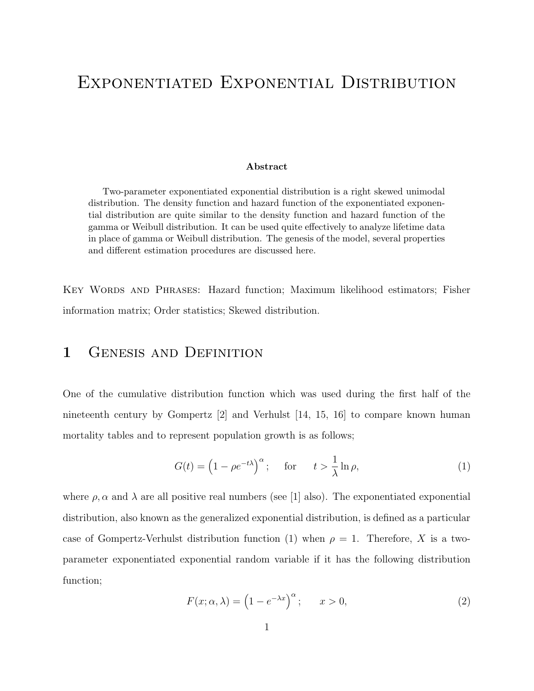# Exponentiated Exponential Distribution

#### Abstract

Two-parameter exponentiated exponential distribution is a right skewed unimodal distribution. The density function and hazard function of the exponentiated exponential distribution are quite similar to the density function and hazard function of the gamma or Weibull distribution. It can be used quite effectively to analyze lifetime data in place of gamma or Weibull distribution. The genesis of the model, several properties and different estimation procedures are discussed here.

Key Words and Phrases: Hazard function; Maximum likelihood estimators; Fisher information matrix; Order statistics; Skewed distribution.

#### 1 GENESIS AND DEFINITION

One of the cumulative distribution function which was used during the first half of the nineteenth century by Gompertz [2] and Verhulst [14, 15, 16] to compare known human mortality tables and to represent population growth is as follows;

$$
G(t) = \left(1 - \rho e^{-t\lambda}\right)^{\alpha}; \quad \text{for} \quad t > \frac{1}{\lambda} \ln \rho,
$$
 (1)

where  $\rho$ ,  $\alpha$  and  $\lambda$  are all positive real numbers (see [1] also). The exponentiated exponential distribution, also known as the generalized exponential distribution, is defined as a particular case of Gompertz-Verhulst distribution function (1) when  $\rho = 1$ . Therefore, X is a twoparameter exponentiated exponential random variable if it has the following distribution function;

$$
F(x; \alpha, \lambda) = \left(1 - e^{-\lambda x}\right)^{\alpha}; \qquad x > 0,
$$
\n<sup>(2)</sup>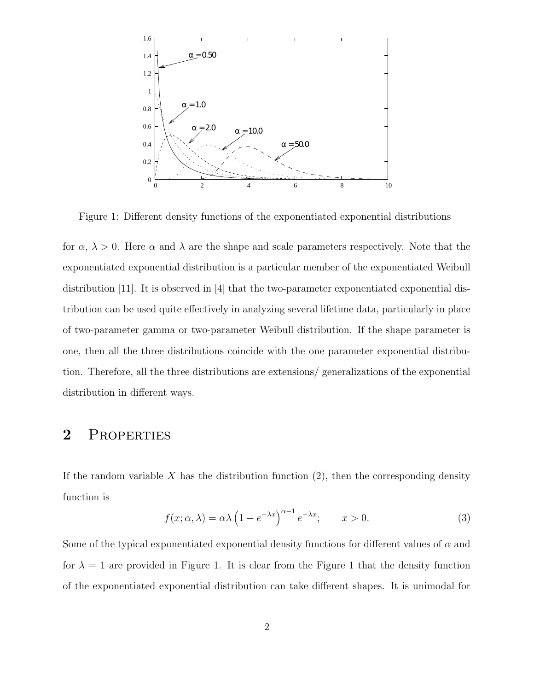

Figure 1: Different density functions of the exponentiated exponential distributions

for  $\alpha$ ,  $\lambda > 0$ . Here  $\alpha$  and  $\lambda$  are the shape and scale parameters respectively. Note that the exponentiated exponential distribution is a particular member of the exponentiated Weibull distribution [11]. It is observed in [4] that the two-parameter exponentiated exponential distribution can be used quite effectively in analyzing several lifetime data, particularly in place of two-parameter gamma or two-parameter Weibull distribution. If the shape parameter is one, then all the three distributions coincide with the one parameter exponential distribution. Therefore, all the three distributions are extensions/ generalizations of the exponential distribution in different ways.

#### 2 PROPERTIES

If the random variable X has the distribution function  $(2)$ , then the corresponding density function is

$$
f(x; \alpha, \lambda) = \alpha \lambda \left( 1 - e^{-\lambda x} \right)^{\alpha - 1} e^{-\lambda x}; \qquad x > 0.
$$
 (3)

Some of the typical exponentiated exponential density functions for different values of  $\alpha$  and for  $\lambda = 1$  are provided in Figure 1. It is clear from the Figure 1 that the density function of the exponentiated exponential distribution can take different shapes. It is unimodal for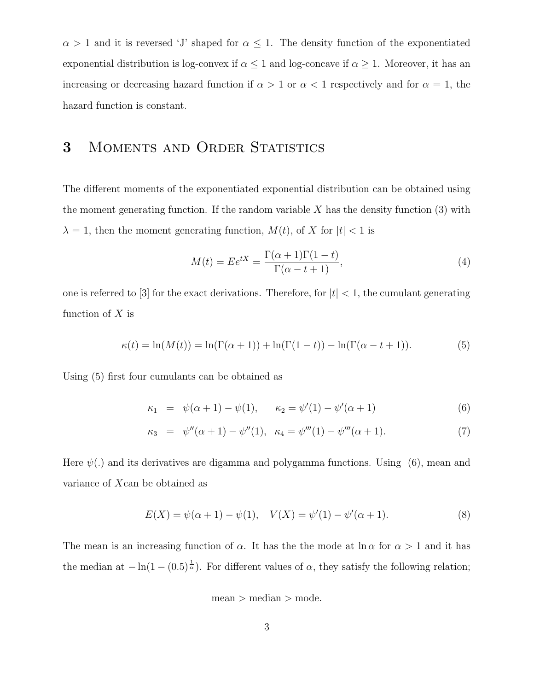$\alpha > 1$  and it is reversed 'J' shaped for  $\alpha \leq 1$ . The density function of the exponentiated exponential distribution is log-convex if  $\alpha \leq 1$  and log-concave if  $\alpha \geq 1$ . Moreover, it has an increasing or decreasing hazard function if  $\alpha > 1$  or  $\alpha < 1$  respectively and for  $\alpha = 1$ , the hazard function is constant.

#### 3 MOMENTS AND ORDER STATISTICS

The different moments of the exponentiated exponential distribution can be obtained using the moment generating function. If the random variable  $X$  has the density function  $(3)$  with  $\lambda = 1$ , then the moment generating function,  $M(t)$ , of X for  $|t| < 1$  is

$$
M(t) = E e^{tX} = \frac{\Gamma(\alpha + 1)\Gamma(1 - t)}{\Gamma(\alpha - t + 1)},
$$
\n(4)

one is referred to [3] for the exact derivations. Therefore, for  $|t| < 1$ , the cumulant generating function of  $X$  is

$$
\kappa(t) = \ln(M(t)) = \ln(\Gamma(\alpha + 1)) + \ln(\Gamma(1 - t)) - \ln(\Gamma(\alpha - t + 1)).
$$
\n(5)

Using (5) first four cumulants can be obtained as

$$
\kappa_1 = \psi(\alpha + 1) - \psi(1), \qquad \kappa_2 = \psi'(1) - \psi'(\alpha + 1) \tag{6}
$$

$$
\kappa_3 = \psi''(\alpha + 1) - \psi''(1), \quad \kappa_4 = \psi'''(1) - \psi'''(\alpha + 1). \tag{7}
$$

Here  $\psi(.)$  and its derivatives are digamma and polygamma functions. Using (6), mean and variance of Xcan be obtained as

$$
E(X) = \psi(\alpha + 1) - \psi(1), \quad V(X) = \psi'(1) - \psi'(\alpha + 1).
$$
 (8)

The mean is an increasing function of  $\alpha$ . It has the the mode at  $\ln \alpha$  for  $\alpha > 1$  and it has the median at  $-\ln(1-(0.5)^{\frac{1}{\alpha}})$ . For different values of  $\alpha$ , they satisfy the following relation;

$$
mean > median > mode.
$$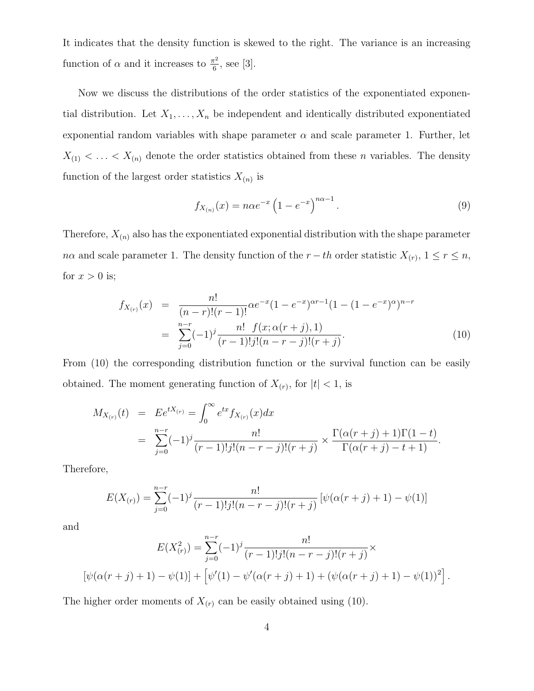It indicates that the density function is skewed to the right. The variance is an increasing function of  $\alpha$  and it increases to  $\frac{\pi^2}{6}$  $\frac{1}{6}$ , see [3].

Now we discuss the distributions of the order statistics of the exponentiated exponential distribution. Let  $X_1, \ldots, X_n$  be independent and identically distributed exponentiated exponential random variables with shape parameter  $\alpha$  and scale parameter 1. Further, let  $X_{(1)} < \ldots < X_{(n)}$  denote the order statistics obtained from these *n* variables. The density function of the largest order statistics  $X_{(n)}$  is

$$
f_{X_{(n)}}(x) = n\alpha e^{-x} \left(1 - e^{-x}\right)^{n\alpha - 1}.
$$
\n(9)

Therefore,  $X_{(n)}$  also has the exponentiated exponential distribution with the shape parameter  $n\alpha$  and scale parameter 1. The density function of the  $r-th$  order statistic  $X_{(r)}$ ,  $1 \le r \le n$ , for  $x > 0$  is;

$$
f_{X_{(r)}}(x) = \frac{n!}{(n-r)!(r-1)!} \alpha e^{-x} (1 - e^{-x})^{\alpha r - 1} (1 - (1 - e^{-x})^{\alpha})^{n-r}
$$
  
= 
$$
\sum_{j=0}^{n-r} (-1)^j \frac{n! \ f(x; \alpha(r+j), 1)}{(r-1)! j! (n-r-j)! (r+j)}.
$$
 (10)

From (10) the corresponding distribution function or the survival function can be easily obtained. The moment generating function of  $X_{(r)}$ , for  $|t| < 1$ , is

$$
M_{X_{(r)}}(t) = E e^{tX_{(r)}} = \int_0^\infty e^{tx} f_{X_{(r)}}(x) dx
$$
  
= 
$$
\sum_{j=0}^{n-r} (-1)^j \frac{n!}{(r-1)! j! (n-r-j)! (r+j)} \times \frac{\Gamma(\alpha(r+j)+1) \Gamma(1-t)}{\Gamma(\alpha(r+j)-t+1)}.
$$

Therefore,

$$
E(X_{(r)}) = \sum_{j=0}^{n-r} (-1)^j \frac{n!}{(r-1)!j!(n-r-j)!(r+j)} \left[ \psi(\alpha(r+j)+1) - \psi(1) \right]
$$

and

$$
E(X_{(r)}^2) = \sum_{j=0}^{n-r} (-1)^j \frac{n!}{(r-1)!j!(n-r-j)!(r+j)} \times \left[ \psi(\alpha(r+j)+1) - \psi(1) \right] + \left[ \psi'(1) - \psi'(\alpha(r+j)+1) + (\psi(\alpha(r+j)+1) - \psi(1))^2 \right].
$$

The higher order moments of  $X_{(r)}$  can be easily obtained using (10).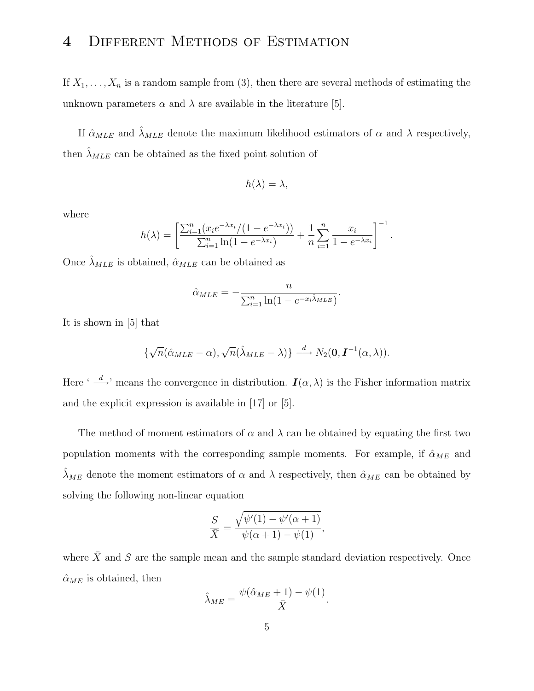## 4 Different Methods of Estimation

If  $X_1, \ldots, X_n$  is a random sample from (3), then there are several methods of estimating the unknown parameters  $\alpha$  and  $\lambda$  are available in the literature [5].

If  $\hat{\alpha}_{MLE}$  and  $\hat{\lambda}_{MLE}$  denote the maximum likelihood estimators of  $\alpha$  and  $\lambda$  respectively, then  $\lambda_{MLE}$  can be obtained as the fixed point solution of

$$
h(\lambda) = \lambda,
$$

where

$$
h(\lambda) = \left[ \frac{\sum_{i=1}^{n} (x_i e^{-\lambda x_i} / (1 - e^{-\lambda x_i}))}{\sum_{i=1}^{n} \ln(1 - e^{-\lambda x_i})} + \frac{1}{n} \sum_{i=1}^{n} \frac{x_i}{1 - e^{-\lambda x_i}} \right]^{-1}.
$$

Once  $\hat{\lambda}_{MLE}$  is obtained,  $\hat{\alpha}_{MLE}$  can be obtained as

$$
\hat{\alpha}_{MLE} = -\frac{n}{\sum_{i=1}^{n} \ln(1 - e^{-x_i \hat{\lambda}_{MLE}})}.
$$

It is shown in [5] that

$$
\{\sqrt{n}(\hat{\alpha}_{MLE}-\alpha),\sqrt{n}(\hat{\lambda}_{MLE}-\lambda)\}\stackrel{d}{\longrightarrow}N_2(\mathbf{0},\mathbf{I}^{-1}(\alpha,\lambda)).
$$

Here ' $\rightarrow$ ' means the convergence in distribution.  $I(\alpha, \lambda)$  is the Fisher information matrix and the explicit expression is available in [17] or [5].

The method of moment estimators of  $\alpha$  and  $\lambda$  can be obtained by equating the first two population moments with the corresponding sample moments. For example, if  $\hat{\alpha}_{ME}$  and  $\hat{\lambda}_{ME}$  denote the moment estimators of  $\alpha$  and  $\lambda$  respectively, then  $\hat{\alpha}_{ME}$  can be obtained by solving the following non-linear equation

$$
\frac{S}{\overline{X}} = \frac{\sqrt{\psi'(1) - \psi'(\alpha + 1)}}{\psi(\alpha + 1) - \psi(1)},
$$

where  $\bar{X}$  and S are the sample mean and the sample standard deviation respectively. Once  $\hat{\alpha}_{ME}$  is obtained, then

$$
\hat{\lambda}_{ME} = \frac{\psi(\hat{\alpha}_{ME} + 1) - \psi(1)}{\bar{X}}.
$$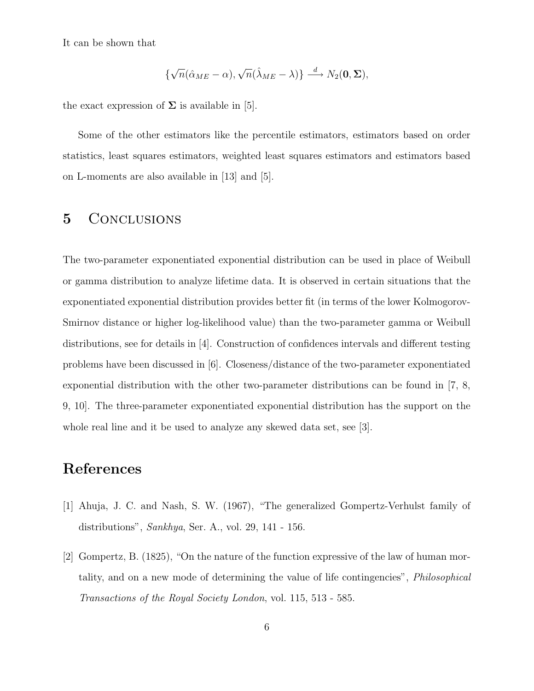It can be shown that

$$
\{\sqrt{n}(\hat{\alpha}_{ME}-\alpha),\sqrt{n}(\hat{\lambda}_{ME}-\lambda)\}\stackrel{d}{\longrightarrow}N_2(\mathbf{0},\boldsymbol{\Sigma}),
$$

the exact expression of  $\Sigma$  is available in [5].

Some of the other estimators like the percentile estimators, estimators based on order statistics, least squares estimators, weighted least squares estimators and estimators based on L-moments are also available in [13] and [5].

## 5 CONCLUSIONS

The two-parameter exponentiated exponential distribution can be used in place of Weibull or gamma distribution to analyze lifetime data. It is observed in certain situations that the exponentiated exponential distribution provides better fit (in terms of the lower Kolmogorov-Smirnov distance or higher log-likelihood value) than the two-parameter gamma or Weibull distributions, see for details in [4]. Construction of confidences intervals and different testing problems have been discussed in [6]. Closeness/distance of the two-parameter exponentiated exponential distribution with the other two-parameter distributions can be found in [7, 8, 9, 10]. The three-parameter exponentiated exponential distribution has the support on the whole real line and it be used to analyze any skewed data set, see [3].

### References

- [1] Ahuja, J. C. and Nash, S. W. (1967), "The generalized Gompertz-Verhulst family of distributions", Sankhya, Ser. A., vol. 29, 141 - 156.
- [2] Gompertz, B. (1825), "On the nature of the function expressive of the law of human mortality, and on a new mode of determining the value of life contingencies", Philosophical Transactions of the Royal Society London, vol. 115, 513 - 585.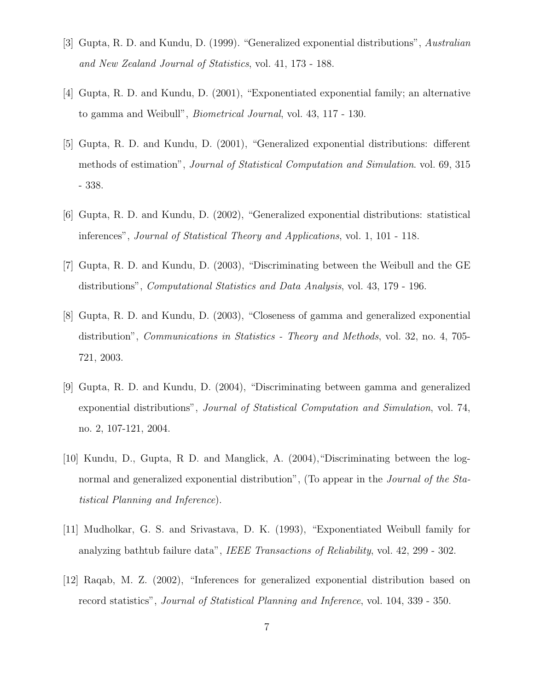- [3] Gupta, R. D. and Kundu, D. (1999). "Generalized exponential distributions", Australian and New Zealand Journal of Statistics, vol. 41, 173 - 188.
- [4] Gupta, R. D. and Kundu, D. (2001), "Exponentiated exponential family; an alternative to gamma and Weibull", Biometrical Journal, vol. 43, 117 - 130.
- [5] Gupta, R. D. and Kundu, D. (2001), "Generalized exponential distributions: different methods of estimation", *Journal of Statistical Computation and Simulation*. vol. 69, 315 - 338.
- [6] Gupta, R. D. and Kundu, D. (2002), "Generalized exponential distributions: statistical inferences", Journal of Statistical Theory and Applications, vol. 1, 101 - 118.
- [7] Gupta, R. D. and Kundu, D. (2003), "Discriminating between the Weibull and the GE distributions", Computational Statistics and Data Analysis, vol. 43, 179 - 196.
- [8] Gupta, R. D. and Kundu, D. (2003), "Closeness of gamma and generalized exponential distribution", Communications in Statistics - Theory and Methods, vol. 32, no. 4, 705- 721, 2003.
- [9] Gupta, R. D. and Kundu, D. (2004), "Discriminating between gamma and generalized exponential distributions", Journal of Statistical Computation and Simulation, vol. 74, no. 2, 107-121, 2004.
- [10] Kundu, D., Gupta, R D. and Manglick, A. (2004),"Discriminating between the lognormal and generalized exponential distribution", (To appear in the *Journal of the Sta*tistical Planning and Inference).
- [11] Mudholkar, G. S. and Srivastava, D. K. (1993), "Exponentiated Weibull family for analyzing bathtub failure data", IEEE Transactions of Reliability, vol. 42, 299 - 302.
- [12] Raqab, M. Z. (2002), "Inferences for generalized exponential distribution based on record statistics", Journal of Statistical Planning and Inference, vol. 104, 339 - 350.